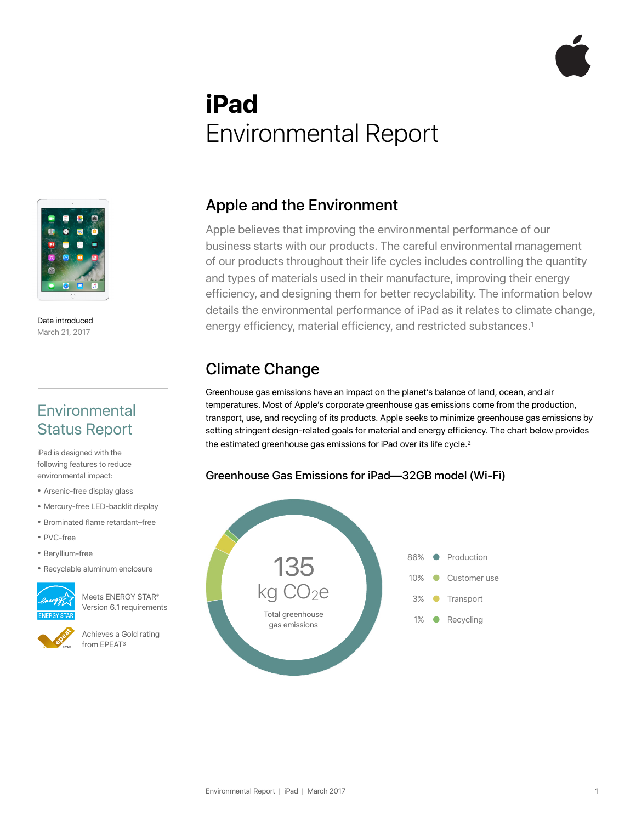# **iPad**  Environmental Report



Date introduced March 21, 2017

#### **Environmental** Status Report

iPad is designed with the following features to reduce environmental impact:

- Arsenic-free display glass
- Mercury-free LED-backlit display
- Brominated flame retardant–free
- PVC-free
- Beryllium-free
- Recyclable aluminum enclosure



Meets ENERGY STAR® Version 6.1 requirements

Achieves a Gold rating from EPEAT3

#### Apple and the Environment

Apple believes that improving the environmental performance of our business starts with our products. The careful environmental management of our products throughout their life cycles includes controlling the quantity and types of materials used in their manufacture, improving their energy efficiency, and designing them for better recyclability. The information below details the environmental performance of iPad as it relates to climate change, energy efficiency, material efficiency, and restricted substances.1

### Climate Change

Greenhouse gas emissions have an impact on the planet's balance of land, ocean, and air temperatures. Most of Apple's corporate greenhouse gas emissions come from the production, transport, use, and recycling of its products. Apple seeks to minimize greenhouse gas emissions by setting stringent design-related goals for material and energy efficiency. The chart below provides the estimated greenhouse gas emissions for iPad over its life cycle.<sup>2</sup>

#### Greenhouse Gas Emissions for iPad—32GB model (Wi-Fi)

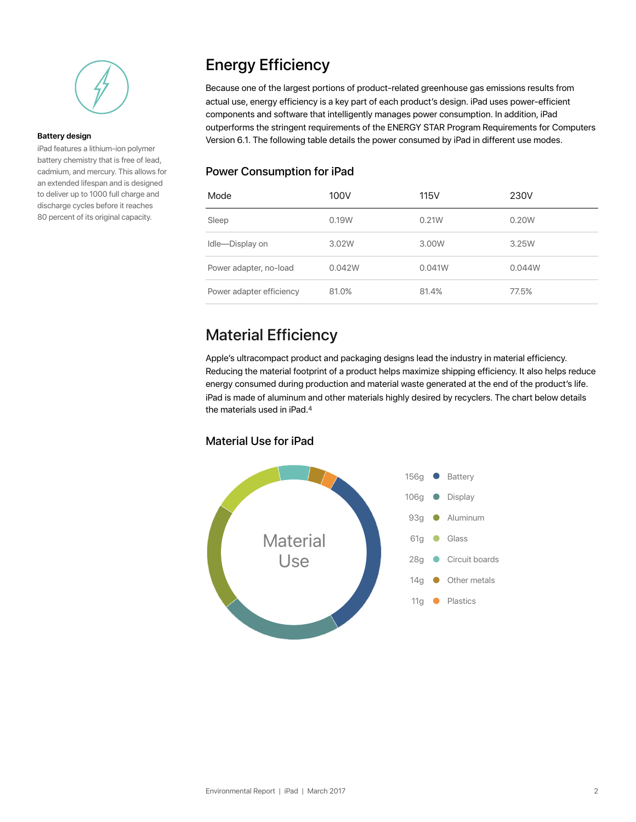

#### **Battery design**

iPad features a lithium-ion polymer battery chemistry that is free of lead, cadmium, and mercury. This allows for an extended lifespan and is designed to deliver up to 1000 full charge and discharge cycles before it reaches 80 percent of its original capacity.

### Energy Efficiency

Because one of the largest portions of product-related greenhouse gas emissions results from actual use, energy efficiency is a key part of each product's design. iPad uses power-efficient components and software that intelligently manages power consumption. In addition, iPad outperforms the stringent requirements of the ENERGY STAR Program Requirements for Computers Version 6.1. The following table details the power consumed by iPad in different use modes.

#### Power Consumption for iPad

| Mode                     | 100V   | <b>115V</b> | 230V   |
|--------------------------|--------|-------------|--------|
| Sleep                    | 0.19W  | 0.21W       | 0.20W  |
| Idle-Display on          | 3.02W  | 3.00W       | 3.25W  |
| Power adapter, no-load   | 0.042W | 0.041W      | 0.044W |
| Power adapter efficiency | 81.0%  | 81.4%       | 77.5%  |

### Material Efficiency

Apple's ultracompact product and packaging designs lead the industry in material efficiency. Reducing the material footprint of a product helps maximize shipping efficiency. It also helps reduce energy consumed during production and material waste generated at the end of the product's life. iPad is made of aluminum and other materials highly desired by recyclers. The chart below details the materials used in iPad.4

#### Material Use for iPad

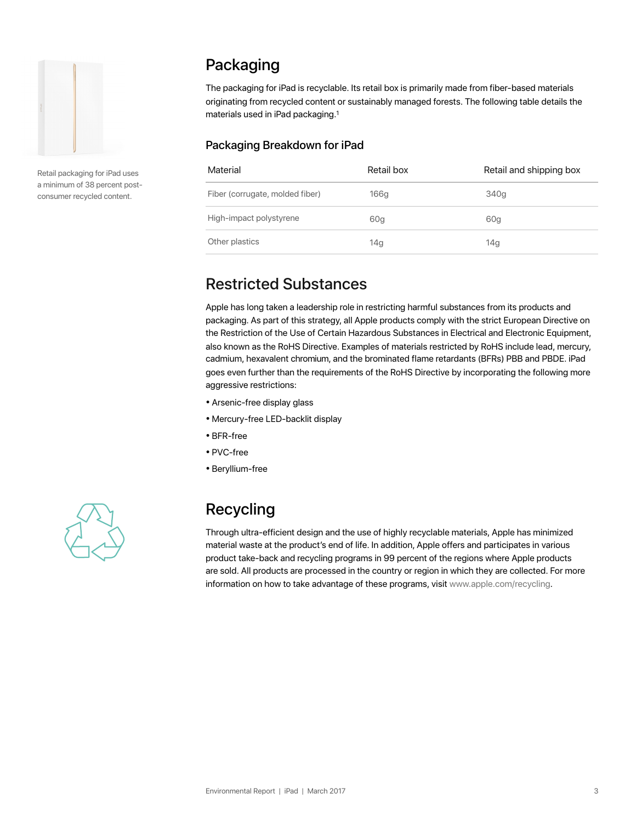

Retail packaging for iPad uses a minimum of 38 percent postconsumer recycled content.

### Packaging

The packaging for iPad is recyclable. Its retail box is primarily made from fiber-based materials originating from recycled content or sustainably managed forests. The following table details the materials used in iPad packaging.1

#### Packaging Breakdown for iPad

| Material                        | Retail box | Retail and shipping box |
|---------------------------------|------------|-------------------------|
| Fiber (corrugate, molded fiber) | 166g       | 340g                    |
| High-impact polystyrene         | 60g        | 60g                     |
| Other plastics                  | 14g        | 14g                     |

#### Restricted Substances

Apple has long taken a leadership role in restricting harmful substances from its products and packaging. As part of this strategy, all Apple products comply with the strict European Directive on the Restriction of the Use of Certain Hazardous Substances in Electrical and Electronic Equipment, also known as the RoHS Directive. Examples of materials restricted by RoHS include lead, mercury, cadmium, hexavalent chromium, and the brominated flame retardants (BFRs) PBB and PBDE. iPad goes even further than the requirements of the RoHS Directive by incorporating the following more aggressive restrictions:

- Arsenic-free display glass
- Mercury-free LED-backlit display
- BFR-free
- PVC-free
- Beryllium-free



## Recycling

Through ultra-efficient design and the use of highly recyclable materials, Apple has minimized material waste at the product's end of life. In addition, Apple offers and participates in various product take-back and recycling programs in 99 percent of the regions where Apple products are sold. All products are processed in the country or region in which they are collected. For more information on how to take advantage of these programs, visit www.apple.com/recycling.